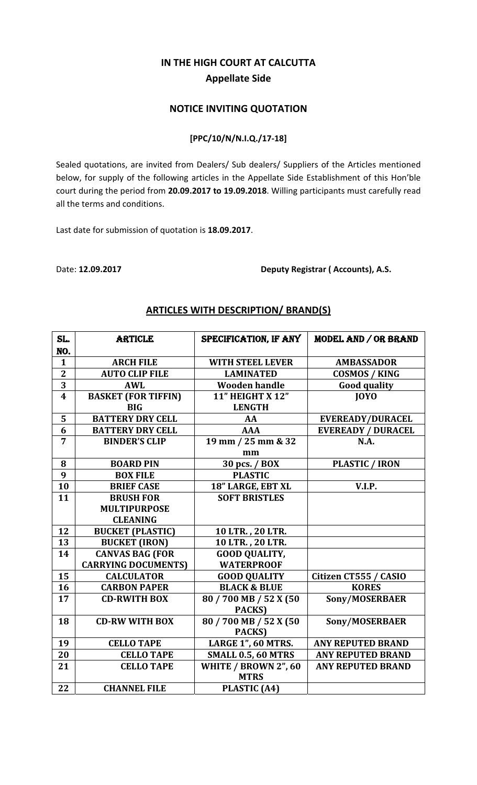# **IN THE HIGH COURT AT CALCUTTA Appellate Side**

### **NOTICE INVITING QUOTATION**

#### **[PPC/10/N/N.I.Q./17‐18]**

Sealed quotations, are invited from Dealers/ Sub dealers/ Suppliers of the Articles mentioned below, for supply of the following articles in the Appellate Side Establishment of this Hon'ble court during the period from **20.09.2017 to 19.09.2018**. Willing participants must carefully read all the terms and conditions.

Last date for submission of quotation is **18.09.2017**.

Date: **12.09.2017 Deputy Registrar ( Accounts), A.S.**

| SL.                     | <b>ARTICLE</b>             | SPECIFICATION, IF ANY     | MODEL AND / OR BRAND      |
|-------------------------|----------------------------|---------------------------|---------------------------|
| NO.                     |                            |                           |                           |
| $\mathbf{1}$            | <b>ARCH FILE</b>           | <b>WITH STEEL LEVER</b>   | <b>AMBASSADOR</b>         |
| $\mathbf{2}$            | <b>AUTO CLIP FILE</b>      | <b>LAMINATED</b>          | <b>COSMOS / KING</b>      |
| $\overline{3}$          | <b>AWL</b>                 | <b>Wooden handle</b>      | <b>Good quality</b>       |
| $\overline{\mathbf{4}}$ | <b>BASKET (FOR TIFFIN)</b> | <b>11" HEIGHT X 12"</b>   | <b>IOYO</b>               |
|                         | <b>BIG</b>                 | <b>LENGTH</b>             |                           |
| 5                       | <b>BATTERY DRY CELL</b>    | AA                        | <b>EVEREADY/DURACEL</b>   |
| 6                       | <b>BATTERY DRY CELL</b>    | <b>AAA</b>                | <b>EVEREADY / DURACEL</b> |
| $\overline{7}$          | <b>BINDER'S CLIP</b>       | 19 mm / 25 mm & 32        | N.A.                      |
|                         |                            | mm                        |                           |
| 8                       | <b>BOARD PIN</b>           | 30 pcs. / BOX             | <b>PLASTIC / IRON</b>     |
| 9                       | <b>BOX FILE</b>            | <b>PLASTIC</b>            |                           |
| 10                      | <b>BRIEF CASE</b>          | 18" LARGE, EBT XL         | V.I.P.                    |
| 11                      | <b>BRUSH FOR</b>           | <b>SOFT BRISTLES</b>      |                           |
|                         | <b>MULTIPURPOSE</b>        |                           |                           |
|                         | <b>CLEANING</b>            |                           |                           |
| 12                      | <b>BUCKET (PLASTIC)</b>    | 10 LTR., 20 LTR.          |                           |
| 13                      | <b>BUCKET (IRON)</b>       | 10 LTR., 20 LTR.          |                           |
| 14                      | <b>CANVAS BAG (FOR</b>     | <b>GOOD QUALITY,</b>      |                           |
|                         | <b>CARRYING DOCUMENTS)</b> | <b>WATERPROOF</b>         |                           |
| 15                      | <b>CALCULATOR</b>          | <b>GOOD QUALITY</b>       | Citizen CT555 / CASIO     |
| 16                      | <b>CARBON PAPER</b>        | <b>BLACK &amp; BLUE</b>   | <b>KORES</b>              |
| 17                      | <b>CD-RWITH BOX</b>        | 80 / 700 MB / 52 X (50    | Sony/MOSERBAER            |
|                         |                            | PACKS)                    |                           |
| 18                      | <b>CD-RW WITH BOX</b>      | 80/700 MB/52 X (50        | Sony/MOSERBAER            |
|                         |                            | PACKS)                    |                           |
| 19                      | <b>CELLO TAPE</b>          | LARGE 1", 60 MTRS.        | <b>ANY REPUTED BRAND</b>  |
| 20                      | <b>CELLO TAPE</b>          | <b>SMALL 0.5, 60 MTRS</b> | <b>ANY REPUTED BRAND</b>  |
| 21                      | <b>CELLO TAPE</b>          | WHITE / BROWN 2", 60      | <b>ANY REPUTED BRAND</b>  |
|                         |                            | <b>MTRS</b>               |                           |
| 22                      | <b>CHANNEL FILE</b>        | PLASTIC (A4)              |                           |

#### **ARTICLES WITH DESCRIPTION/ BRAND(S)**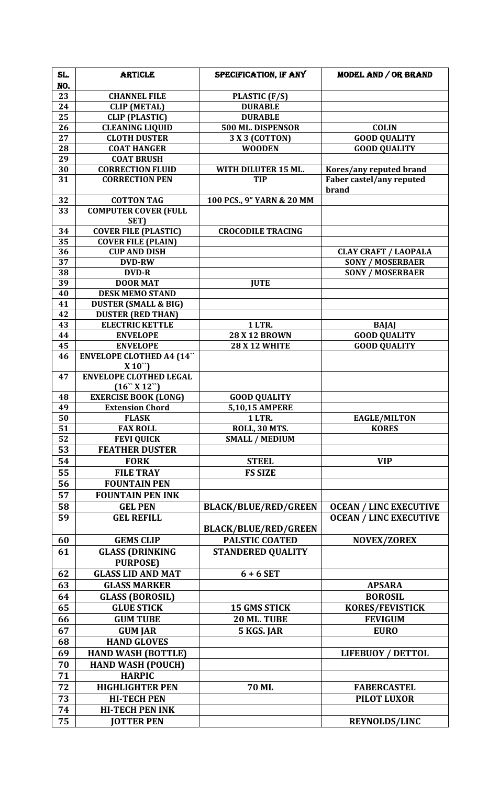| SL. | <b>ARTICLE</b>                              | SPECIFICATION, IF ANY       | MODEL AND / OR BRAND              |
|-----|---------------------------------------------|-----------------------------|-----------------------------------|
| NO. |                                             |                             |                                   |
| 23  | <b>CHANNEL FILE</b>                         | PLASTIC (F/S)               |                                   |
| 24  | <b>CLIP</b> (METAL)                         | <b>DURABLE</b>              |                                   |
| 25  | <b>CLIP (PLASTIC)</b>                       | <b>DURABLE</b>              |                                   |
| 26  | <b>CLEANING LIQUID</b>                      | 500 ML. DISPENSOR           | <b>COLIN</b>                      |
| 27  | <b>CLOTH DUSTER</b>                         | 3 X 3 (COTTON)              | <b>GOOD QUALITY</b>               |
| 28  | <b>COAT HANGER</b>                          | <b>WOODEN</b>               | <b>GOOD QUALITY</b>               |
| 29  | <b>COAT BRUSH</b>                           |                             |                                   |
| 30  | <b>CORRECTION FLUID</b>                     | WITH DILUTER 15 ML.         | Kores/any reputed brand           |
| 31  | <b>CORRECTION PEN</b>                       | <b>TIP</b>                  | Faber castel/any reputed<br>brand |
| 32  | <b>COTTON TAG</b>                           | 100 PCS., 9" YARN & 20 MM   |                                   |
| 33  | <b>COMPUTER COVER (FULL</b>                 |                             |                                   |
|     | SET)                                        |                             |                                   |
| 34  | <b>COVER FILE (PLASTIC)</b>                 | <b>CROCODILE TRACING</b>    |                                   |
| 35  | <b>COVER FILE (PLAIN)</b>                   |                             |                                   |
| 36  | <b>CUP AND DISH</b>                         |                             | <b>CLAY CRAFT / LAOPALA</b>       |
| 37  | <b>DVD-RW</b>                               |                             | <b>SONY / MOSERBAER</b>           |
| 38  | <b>DVD-R</b>                                |                             | <b>SONY / MOSERBAER</b>           |
| 39  | <b>DOOR MAT</b>                             | <b>IUTE</b>                 |                                   |
| 40  | <b>DESK MEMO STAND</b>                      |                             |                                   |
| 41  | <b>DUSTER (SMALL &amp; BIG)</b>             |                             |                                   |
| 42  | <b>DUSTER (RED THAN)</b>                    |                             |                                   |
| 43  | <b>ELECTRIC KETTLE</b>                      | 1 LTR.                      | <b>BAJAJ</b>                      |
| 44  | <b>ENVELOPE</b>                             | <b>28 X 12 BROWN</b>        | <b>GOOD QUALITY</b>               |
| 45  | <b>ENVELOPE</b>                             | <b>28 X 12 WHITE</b>        | <b>GOOD QUALITY</b>               |
| 46  | <b>ENVELOPE CLOTHED A4 (14"</b><br>$X 10$ " |                             |                                   |
| 47  | <b>ENVELOPE CLOTHED LEGAL</b><br>(16``X12") |                             |                                   |
| 48  | <b>EXERCISE BOOK (LONG)</b>                 | <b>GOOD QUALITY</b>         |                                   |
| 49  | <b>Extension Chord</b>                      | 5,10,15 AMPERE              |                                   |
| 50  | <b>FLASK</b>                                | <b>1 LTR.</b>               | <b>EAGLE/MILTON</b>               |
| 51  | <b>FAX ROLL</b>                             | <b>ROLL, 30 MTS.</b>        | <b>KORES</b>                      |
| 52  | <b>FEVI QUICK</b>                           | <b>SMALL / MEDIUM</b>       |                                   |
| 53  | <b>FEATHER DUSTER</b>                       |                             |                                   |
| 54  | <b>FORK</b>                                 | <b>STEEL</b>                | <b>VIP</b>                        |
| 55  | <b>FILE TRAY</b>                            | <b>FS SIZE</b>              |                                   |
| 56  | <b>FOUNTAIN PEN</b>                         |                             |                                   |
| 57  | <b>FOUNTAIN PEN INK</b>                     |                             |                                   |
| 58  | <b>GEL PEN</b>                              | <b>BLACK/BLUE/RED/GREEN</b> | <b>OCEAN / LINC EXECUTIVE</b>     |
| 59  | <b>GEL REFILL</b>                           |                             | <b>OCEAN / LINC EXECUTIVE</b>     |
|     |                                             | <b>BLACK/BLUE/RED/GREEN</b> |                                   |
| 60  | <b>GEMS CLIP</b>                            | <b>PALSTIC COATED</b>       | <b>NOVEX/ZOREX</b>                |
| 61  | <b>GLASS (DRINKING</b><br><b>PURPOSE)</b>   | <b>STANDERED QUALITY</b>    |                                   |
| 62  | <b>GLASS LID AND MAT</b>                    | $6 + 6$ SET                 |                                   |
| 63  | <b>GLASS MARKER</b>                         |                             | <b>APSARA</b>                     |
| 64  | <b>GLASS (BOROSIL)</b>                      |                             | <b>BOROSIL</b>                    |
| 65  | <b>GLUE STICK</b>                           | <b>15 GMS STICK</b>         | <b>KORES/FEVISTICK</b>            |
| 66  | <b>GUM TUBE</b>                             | 20 ML. TUBE                 | <b>FEVIGUM</b>                    |
| 67  | <b>GUM JAR</b>                              | 5 KGS. JAR                  | <b>EURO</b>                       |
| 68  | <b>HAND GLOVES</b>                          |                             |                                   |
| 69  | <b>HAND WASH (BOTTLE)</b>                   |                             | <b>LIFEBUOY / DETTOL</b>          |
| 70  | <b>HAND WASH (POUCH)</b>                    |                             |                                   |
| 71  | <b>HARPIC</b>                               |                             |                                   |
| 72  | <b>HIGHLIGHTER PEN</b>                      | <b>70 ML</b>                | <b>FABERCASTEL</b>                |
| 73  | <b>HI-TECH PEN</b>                          |                             | <b>PILOT LUXOR</b>                |
| 74  | <b>HI-TECH PEN INK</b>                      |                             |                                   |
| 75  | <b>JOTTER PEN</b>                           |                             | <b>REYNOLDS/LINC</b>              |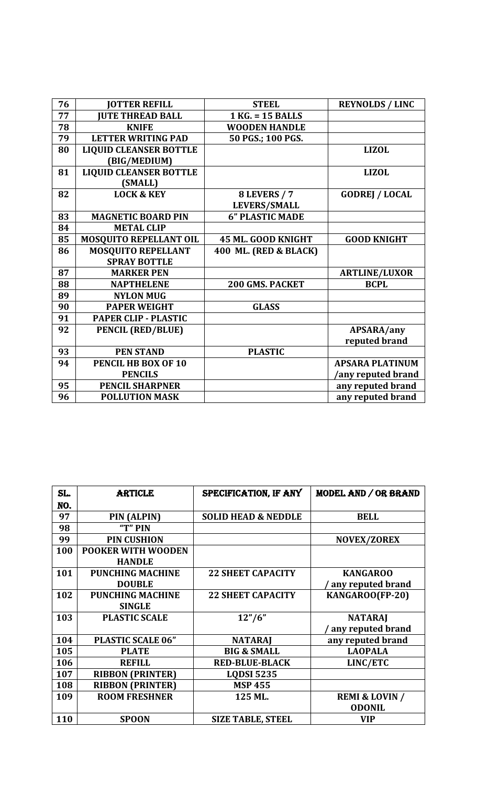| 76 | <b>JOTTER REFILL</b>          | <b>STEEL</b>           | <b>REYNOLDS / LINC</b> |
|----|-------------------------------|------------------------|------------------------|
| 77 | <b>JUTE THREAD BALL</b>       | $1$ KG. = 15 BALLS     |                        |
| 78 | <b>KNIFE</b>                  | <b>WOODEN HANDLE</b>   |                        |
| 79 | <b>LETTER WRITING PAD</b>     | 50 PGS.; 100 PGS.      |                        |
| 80 | <b>LIQUID CLEANSER BOTTLE</b> |                        | <b>LIZOL</b>           |
|    | (BIG/MEDIUM)                  |                        |                        |
| 81 | <b>LIQUID CLEANSER BOTTLE</b> |                        | <b>LIZOL</b>           |
|    | (SMALL)                       |                        |                        |
| 82 | <b>LOCK &amp; KEY</b>         | <b>8 LEVERS / 7</b>    | <b>GODREJ / LOCAL</b>  |
|    |                               | <b>LEVERS/SMALL</b>    |                        |
| 83 | <b>MAGNETIC BOARD PIN</b>     | <b>6" PLASTIC MADE</b> |                        |
| 84 | <b>METAL CLIP</b>             |                        |                        |
| 85 | <b>MOSQUITO REPELLANT OIL</b> | 45 ML. GOOD KNIGHT     | <b>GOOD KNIGHT</b>     |
| 86 | <b>MOSQUITO REPELLANT</b>     | 400 ML. (RED & BLACK)  |                        |
|    | <b>SPRAY BOTTLE</b>           |                        |                        |
| 87 | <b>MARKER PEN</b>             |                        | <b>ARTLINE/LUXOR</b>   |
| 88 | <b>NAPTHELENE</b>             | <b>200 GMS. PACKET</b> | <b>BCPL</b>            |
| 89 | <b>NYLON MUG</b>              |                        |                        |
| 90 | <b>PAPER WEIGHT</b>           | <b>GLASS</b>           |                        |
| 91 | <b>PAPER CLIP - PLASTIC</b>   |                        |                        |
| 92 | <b>PENCIL (RED/BLUE)</b>      |                        | APSARA/any             |
|    |                               |                        | reputed brand          |
| 93 | <b>PEN STAND</b>              | <b>PLASTIC</b>         |                        |
| 94 | PENCIL HB BOX OF 10           |                        | <b>APSARA PLATINUM</b> |
|    | <b>PENCILS</b>                |                        | any reputed brand      |
| 95 | <b>PENCIL SHARPNER</b>        |                        | any reputed brand      |
| 96 | <b>POLLUTION MASK</b>         |                        | any reputed brand      |

| SL. | <b>ARTICLE</b>            | SPECIFICATION, IF ANY          | MODEL AND / OR BRAND      |
|-----|---------------------------|--------------------------------|---------------------------|
| NO. |                           |                                |                           |
| 97  | PIN (ALPIN)               | <b>SOLID HEAD &amp; NEDDLE</b> | <b>BELL</b>               |
| 98  | "T" PIN                   |                                |                           |
| 99  | <b>PIN CUSHION</b>        |                                | <b>NOVEX/ZOREX</b>        |
| 100 | <b>POOKER WITH WOODEN</b> |                                |                           |
|     | <b>HANDLE</b>             |                                |                           |
| 101 | <b>PUNCHING MACHINE</b>   | <b>22 SHEET CAPACITY</b>       | <b>KANGAROO</b>           |
|     | <b>DOUBLE</b>             |                                | any reputed brand         |
| 102 | <b>PUNCHING MACHINE</b>   | <b>22 SHEET CAPACITY</b>       | KANGAROO(FP-20)           |
|     | <b>SINGLE</b>             |                                |                           |
| 103 | <b>PLASTIC SCALE</b>      | 12''/6''                       | <b>NATARAJ</b>            |
|     |                           |                                | any reputed brand         |
| 104 | <b>PLASTIC SCALE 06"</b>  | <b>NATARAJ</b>                 | any reputed brand         |
| 105 | <b>PLATE</b>              | <b>BIG &amp; SMALL</b>         | <b>LAOPALA</b>            |
| 106 | <b>REFILL</b>             | <b>RED-BLUE-BLACK</b>          | LINC/ETC                  |
| 107 | <b>RIBBON (PRINTER)</b>   | <b>LQDSI 5235</b>              |                           |
| 108 | <b>RIBBON (PRINTER)</b>   | <b>MSP 455</b>                 |                           |
| 109 | <b>ROOM FRESHNER</b>      | 125 ML.                        | <b>REMI &amp; LOVIN /</b> |
|     |                           |                                | <b>ODONIL</b>             |
| 110 | <b>SPOON</b>              | <b>SIZE TABLE, STEEL</b>       | <b>VIP</b>                |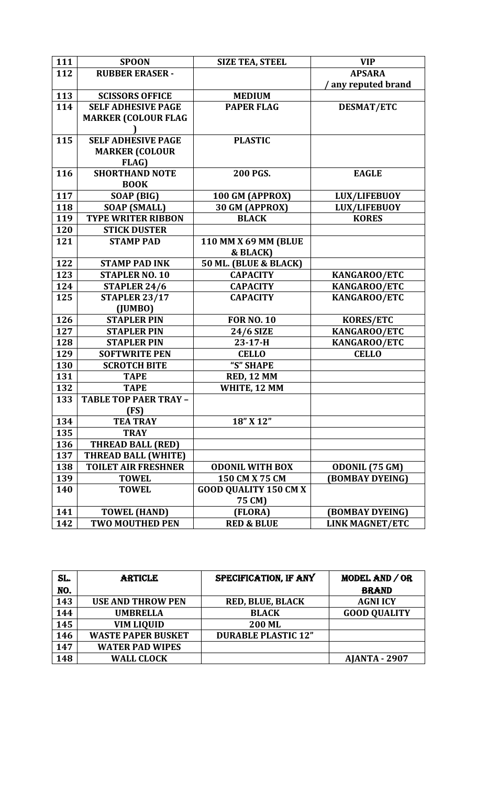| 111 | <b>SPOON</b>                 | <b>SIZE TEA, STEEL</b>       | <b>VIP</b>             |
|-----|------------------------------|------------------------------|------------------------|
| 112 | <b>RUBBER ERASER -</b>       |                              | <b>APSARA</b>          |
|     |                              |                              | any reputed brand      |
| 113 | <b>SCISSORS OFFICE</b>       | <b>MEDIUM</b>                |                        |
| 114 | <b>SELF ADHESIVE PAGE</b>    | <b>PAPER FLAG</b>            | <b>DESMAT/ETC</b>      |
|     | <b>MARKER (COLOUR FLAG</b>   |                              |                        |
|     |                              |                              |                        |
| 115 | <b>SELF ADHESIVE PAGE</b>    | <b>PLASTIC</b>               |                        |
|     | <b>MARKER (COLOUR</b>        |                              |                        |
|     | FLAG)                        |                              |                        |
| 116 | <b>SHORTHAND NOTE</b>        | 200 PGS.                     | <b>EAGLE</b>           |
|     | <b>BOOK</b>                  |                              |                        |
| 117 | SOAP (BIG)                   | 100 GM (APPROX)              | <b>LUX/LIFEBUOY</b>    |
| 118 | <b>SOAP (SMALL)</b>          | 30 GM (APPROX)               | <b>LUX/LIFEBUOY</b>    |
| 119 | <b>TYPE WRITER RIBBON</b>    | <b>BLACK</b>                 | <b>KORES</b>           |
| 120 | <b>STICK DUSTER</b>          |                              |                        |
| 121 | <b>STAMP PAD</b>             | 110 MM X 69 MM (BLUE         |                        |
|     |                              | & BLACK)                     |                        |
| 122 | <b>STAMP PAD INK</b>         | 50 ML. (BLUE & BLACK)        |                        |
| 123 | <b>STAPLER NO. 10</b>        | <b>CAPACITY</b>              | KANGAROO/ETC           |
| 124 | STAPLER 24/6                 | <b>CAPACITY</b>              | KANGAROO/ETC           |
| 125 | <b>STAPLER 23/17</b>         | <b>CAPACITY</b>              | KANGAROO/ETC           |
|     | (JUMBO)                      |                              |                        |
| 126 | <b>STAPLER PIN</b>           | <b>FOR NO. 10</b>            | <b>KORES/ETC</b>       |
| 127 | <b>STAPLER PIN</b>           | <b>24/6 SIZE</b>             | KANGAROO/ETC           |
| 128 | <b>STAPLER PIN</b>           | $23-17-H$                    | KANGAROO/ETC           |
| 129 | <b>SOFTWRITE PEN</b>         | <b>CELLO</b>                 | <b>CELLO</b>           |
| 130 | <b>SCROTCH BITE</b>          | "S" SHAPE                    |                        |
| 131 | <b>TAPE</b>                  | <b>RED, 12 MM</b>            |                        |
| 132 | <b>TAPE</b>                  | WHITE, 12 MM                 |                        |
| 133 | <b>TABLE TOP PAER TRAY -</b> |                              |                        |
|     | (FS)                         |                              |                        |
| 134 | <b>TEA TRAY</b>              | 18" X 12"                    |                        |
| 135 | <b>TRAY</b>                  |                              |                        |
| 136 | <b>THREAD BALL (RED)</b>     |                              |                        |
| 137 | <b>THREAD BALL (WHITE)</b>   |                              |                        |
| 138 | <b>TOILET AIR FRESHNER</b>   | <b>ODONIL WITH BOX</b>       | ODONIL (75 GM)         |
| 139 | <b>TOWEL</b>                 | 150 CM X 75 CM               | (BOMBAY DYEING)        |
| 140 | <b>TOWEL</b>                 | <b>GOOD QUALITY 150 CM X</b> |                        |
|     |                              | 75 CM)                       |                        |
| 141 | <b>TOWEL (HAND)</b>          | (FLORA)                      | (BOMBAY DYEING)        |
| 142 | <b>TWO MOUTHED PEN</b>       | <b>RED &amp; BLUE</b>        | <b>LINK MAGNET/ETC</b> |

| SL. | <b>ARTICLE</b>            | SPECIFICATION, IF ANY      | MODEL AND / OR       |
|-----|---------------------------|----------------------------|----------------------|
| NO. |                           |                            | <b>BRAND</b>         |
| 143 | <b>USE AND THROW PEN</b>  | <b>RED, BLUE, BLACK</b>    | <b>AGNI ICY</b>      |
| 144 | <b>UMBRELLA</b>           | <b>BLACK</b>               | <b>GOOD QUALITY</b>  |
| 145 | <b>VIM LIQUID</b>         | <b>200 ML</b>              |                      |
| 146 | <b>WASTE PAPER BUSKET</b> | <b>DURABLE PLASTIC 12"</b> |                      |
| 147 | <b>WATER PAD WIPES</b>    |                            |                      |
| 148 | <b>WALL CLOCK</b>         |                            | <b>AJANTA - 2907</b> |